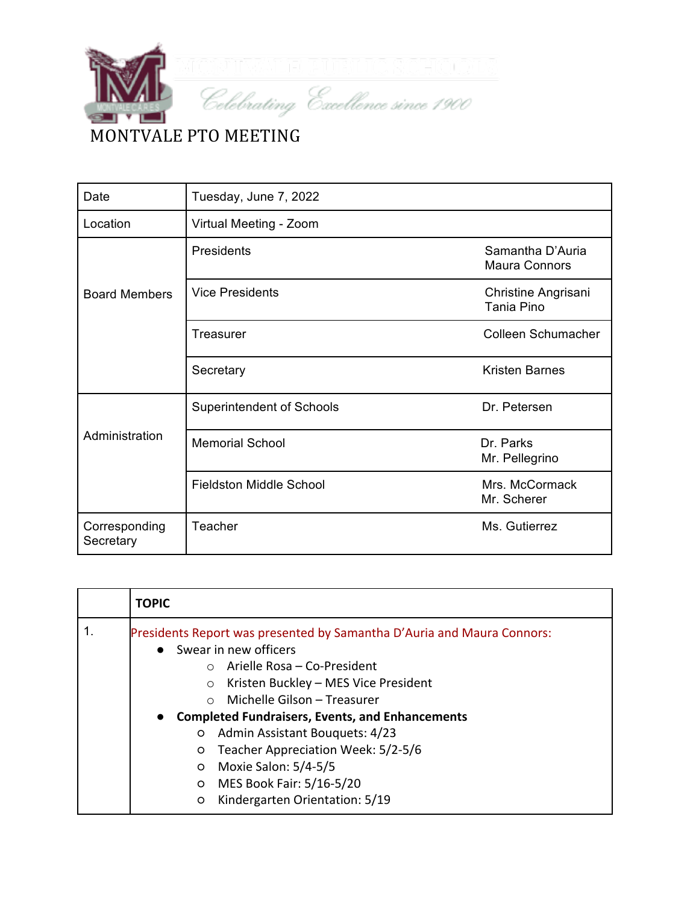

| Date                       | Tuesday, June 7, 2022            |                                          |
|----------------------------|----------------------------------|------------------------------------------|
| Location                   | Virtual Meeting - Zoom           |                                          |
|                            | Presidents                       | Samantha D'Auria<br><b>Maura Connors</b> |
| <b>Board Members</b>       | <b>Vice Presidents</b>           | Christine Angrisani<br>Tania Pino        |
|                            | Treasurer                        | Colleen Schumacher                       |
|                            | Secretary                        | <b>Kristen Barnes</b>                    |
|                            | <b>Superintendent of Schools</b> | Dr. Petersen                             |
| Administration             | <b>Memorial School</b>           | Dr. Parks<br>Mr. Pellegrino              |
|                            | <b>Fieldston Middle School</b>   | Mrs. McCormack<br>Mr. Scherer            |
| Corresponding<br>Secretary | Teacher                          | Ms. Gutierrez                            |

| <b>TOPIC</b>                                                                                                                                                                                                                                                                                                                                                                                                                                                                                |
|---------------------------------------------------------------------------------------------------------------------------------------------------------------------------------------------------------------------------------------------------------------------------------------------------------------------------------------------------------------------------------------------------------------------------------------------------------------------------------------------|
| Presidents Report was presented by Samantha D'Auria and Maura Connors:<br>Swear in new officers<br>Arielle Rosa - Co-President<br>$\cap$<br>Kristen Buckley - MES Vice President<br>$\circ$<br>Michelle Gilson - Treasurer<br>$\cap$<br><b>Completed Fundraisers, Events, and Enhancements</b><br>Admin Assistant Bouquets: 4/23<br>O<br>Teacher Appreciation Week: 5/2-5/6<br>O<br>Moxie Salon: 5/4-5/5<br>$\circ$<br>MES Book Fair: 5/16-5/20<br>O<br>Kindergarten Orientation: 5/19<br>O |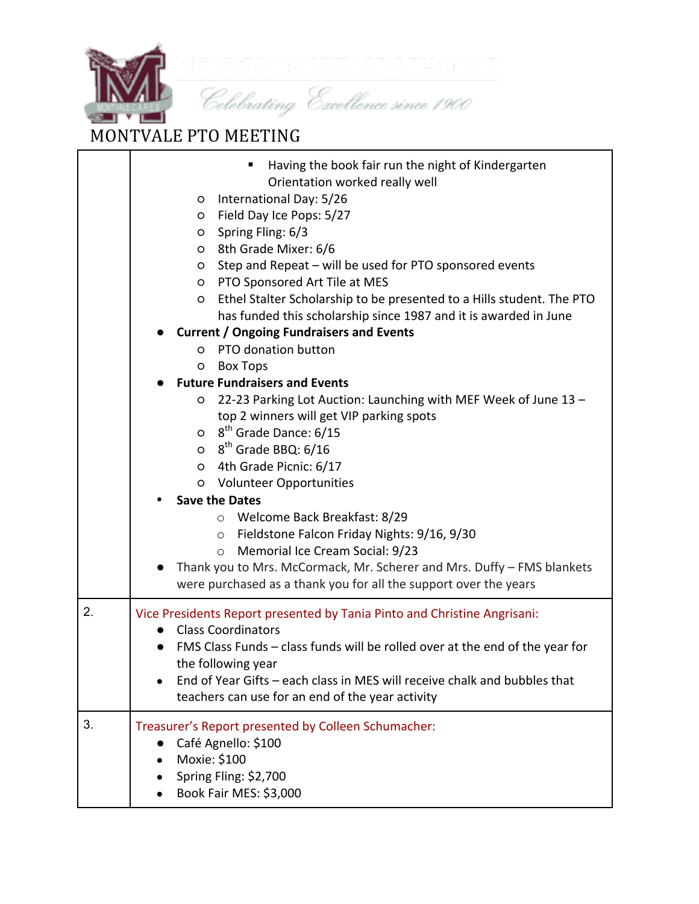

## MONTVALE PTO MEETING

|    | Having the book fair run the night of Kindergarten<br>Orientation worked really well<br>O International Day: 5/26<br>Field Day Ice Pops: 5/27<br>$\circ$<br>Spring Fling: 6/3<br>$\circ$<br>8th Grade Mixer: 6/6<br>$\circ$<br>Step and Repeat - will be used for PTO sponsored events<br>O<br>PTO Sponsored Art Tile at MES<br>$\circ$<br>Ethel Stalter Scholarship to be presented to a Hills student. The PTO<br>O<br>has funded this scholarship since 1987 and it is awarded in June<br><b>Current / Ongoing Fundraisers and Events</b><br>o PTO donation button                                                                               |
|----|-----------------------------------------------------------------------------------------------------------------------------------------------------------------------------------------------------------------------------------------------------------------------------------------------------------------------------------------------------------------------------------------------------------------------------------------------------------------------------------------------------------------------------------------------------------------------------------------------------------------------------------------------------|
|    | <b>Box Tops</b><br>O                                                                                                                                                                                                                                                                                                                                                                                                                                                                                                                                                                                                                                |
|    | <b>Future Fundraisers and Events</b><br>22-23 Parking Lot Auction: Launching with MEF Week of June 13 -<br>O<br>top 2 winners will get VIP parking spots<br>$\circ$ 8 <sup>th</sup> Grade Dance: 6/15<br>$\circ$ 8 <sup>th</sup> Grade BBQ: 6/16<br>O 4th Grade Picnic: 6/17<br><b>Volunteer Opportunities</b><br>$\circ$<br><b>Save the Dates</b><br>Welcome Back Breakfast: 8/29<br>$\circ$<br>Fieldstone Falcon Friday Nights: 9/16, 9/30<br>$\circ$<br>Memorial Ice Cream Social: 9/23<br>$\circ$<br>Thank you to Mrs. McCormack, Mr. Scherer and Mrs. Duffy - FMS blankets<br>were purchased as a thank you for all the support over the years |
| 2. | Vice Presidents Report presented by Tania Pinto and Christine Angrisani:<br><b>Class Coordinators</b><br>FMS Class Funds - class funds will be rolled over at the end of the year for<br>the following year<br>End of Year Gifts - each class in MES will receive chalk and bubbles that<br>teachers can use for an end of the year activity                                                                                                                                                                                                                                                                                                        |
| 3. | Treasurer's Report presented by Colleen Schumacher:<br>Café Agnello: \$100<br>Moxie: \$100<br>Spring Fling: \$2,700<br>Book Fair MES: \$3,000                                                                                                                                                                                                                                                                                                                                                                                                                                                                                                       |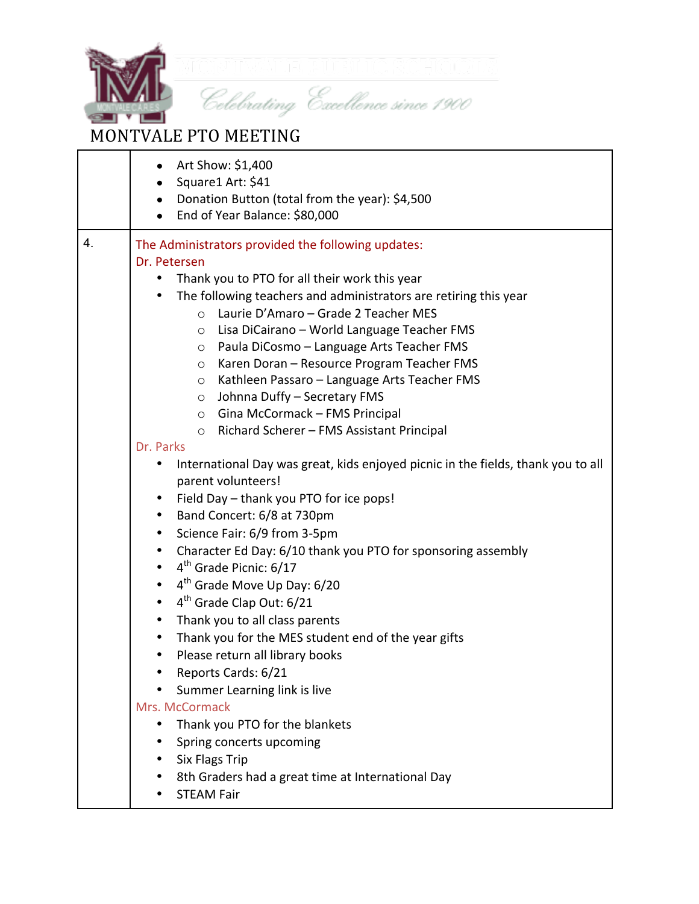

## MONTVALE PTO MEETING

|    | Art Show: \$1,400                                                                |  |
|----|----------------------------------------------------------------------------------|--|
|    | Square1 Art: \$41                                                                |  |
|    | Donation Button (total from the year): \$4,500                                   |  |
|    | End of Year Balance: \$80,000                                                    |  |
| 4. | The Administrators provided the following updates:                               |  |
|    | Dr. Petersen                                                                     |  |
|    | Thank you to PTO for all their work this year                                    |  |
|    | The following teachers and administrators are retiring this year                 |  |
|    | Laurie D'Amaro - Grade 2 Teacher MES<br>$\circ$                                  |  |
|    | Lisa DiCairano - World Language Teacher FMS<br>$\circ$                           |  |
|    | Paula DiCosmo - Language Arts Teacher FMS<br>$\circ$                             |  |
|    | Karen Doran - Resource Program Teacher FMS<br>$\circ$                            |  |
|    | Kathleen Passaro - Language Arts Teacher FMS<br>$\circ$                          |  |
|    | Johnna Duffy - Secretary FMS<br>$\circ$                                          |  |
|    | $\circ$ Gina McCormack - FMS Principal                                           |  |
|    | Richard Scherer - FMS Assistant Principal<br>$\circ$                             |  |
|    | Dr. Parks                                                                        |  |
|    | International Day was great, kids enjoyed picnic in the fields, thank you to all |  |
|    | parent volunteers!                                                               |  |
|    | Field Day - thank you PTO for ice pops!                                          |  |
|    | Band Concert: 6/8 at 730pm<br>$\bullet$                                          |  |
|    | Science Fair: 6/9 from 3-5pm<br>٠                                                |  |
|    | Character Ed Day: 6/10 thank you PTO for sponsoring assembly<br>$\bullet$        |  |
|    | 4 <sup>th</sup> Grade Picnic: 6/17<br>$\bullet$                                  |  |
|    | 4 <sup>th</sup> Grade Move Up Day: 6/20<br>$\bullet$                             |  |
|    | $4th$ Grade Clap Out: 6/21<br>$\bullet$                                          |  |
|    | Thank you to all class parents<br>$\bullet$                                      |  |
|    | Thank you for the MES student end of the year gifts<br>٠                         |  |
|    | Please return all library books                                                  |  |
|    | Reports Cards: 6/21                                                              |  |
|    | Summer Learning link is live                                                     |  |
|    | Mrs. McCormack                                                                   |  |
|    | Thank you PTO for the blankets                                                   |  |
|    | Spring concerts upcoming                                                         |  |
|    | <b>Six Flags Trip</b>                                                            |  |
|    | 8th Graders had a great time at International Day                                |  |
|    | <b>STEAM Fair</b>                                                                |  |